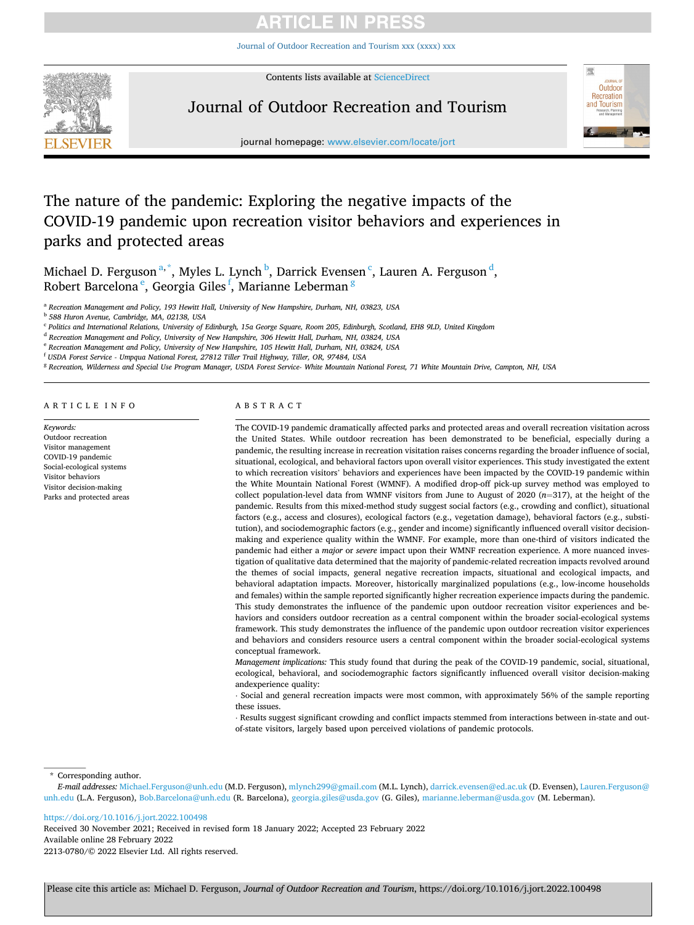[Journal of Outdoor Recreation and Tourism xxx \(xxxx\) xxx](https://doi.org/10.1016/j.jort.2022.100498)



Contents lists available at [ScienceDirect](www.sciencedirect.com/science/journal/22130780)

# Journal of Outdoor Recreation and Tourism



journal homepage: [www.elsevier.com/locate/jort](https://www.elsevier.com/locate/jort) 

# The nature of the pandemic: Exploring the negative impacts of the COVID-19 pandemic upon recreation visitor behaviors and experiences in parks and protected areas

Michael D. Ferguson<sup>a,\*</sup>, Myles L. Lynch b, Darrick Evensen <sup>c</sup>, Lauren A. Ferguson <sup>d</sup>, Robert Barcelona <sup>e</sup>, Georgia Giles <sup>f</sup>, Marianne Leberman <sup>g</sup>

<sup>a</sup> *Recreation Management and Policy, 193 Hewitt Hall, University of New Hampshire, Durham, NH, 03823, USA* 

<sup>b</sup> *588 Huron Avenue, Cambridge, MA, 02138, USA* 

<sup>c</sup> *Politics and International Relations, University of Edinburgh, 15a George Square, Room 205, Edinburgh, Scotland, EH8 9LD, United Kingdom* 

<sup>d</sup> *Recreation Management and Policy, University of New Hampshire, 306 Hewitt Hall, Durham, NH, 03824, USA* 

<sup>e</sup> *Recreation Management and Policy, University of New Hampshire, 105 Hewitt Hall, Durham, NH, 03824, USA* 

<sup>f</sup> *USDA Forest Service - Umpqua National Forest, 27812 Tiller Trail Highway, Tiller, OR, 97484, USA* 

<sup>g</sup> *Recreation, Wilderness and Special Use Program Manager, USDA Forest Service- White Mountain National Forest, 71 White Mountain Drive, Campton, NH, USA* 

# ARTICLE INFO

*Keywords:*  Outdoor recreation Visitor management COVID-19 pandemic Social-ecological systems Visitor behaviors Visitor decision-making Parks and protected areas

# ABSTRACT

The COVID-19 pandemic dramatically affected parks and protected areas and overall recreation visitation across the United States. While outdoor recreation has been demonstrated to be beneficial, especially during a pandemic, the resulting increase in recreation visitation raises concerns regarding the broader influence of social, situational, ecological, and behavioral factors upon overall visitor experiences. This study investigated the extent to which recreation visitors' behaviors and experiences have been impacted by the COVID-19 pandemic within the White Mountain National Forest (WMNF). A modified drop-off pick-up survey method was employed to collect population-level data from WMNF visitors from June to August of 2020 (*n*=317), at the height of the pandemic. Results from this mixed-method study suggest social factors (e.g., crowding and conflict), situational factors (e.g., access and closures), ecological factors (e.g., vegetation damage), behavioral factors (e.g., substitution), and sociodemographic factors (e.g., gender and income) significantly influenced overall visitor decisionmaking and experience quality within the WMNF. For example, more than one-third of visitors indicated the pandemic had either a *major* or *severe* impact upon their WMNF recreation experience. A more nuanced investigation of qualitative data determined that the majority of pandemic-related recreation impacts revolved around the themes of social impacts, general negative recreation impacts, situational and ecological impacts, and behavioral adaptation impacts. Moreover, historically marginalized populations (e.g., low-income households and females) within the sample reported significantly higher recreation experience impacts during the pandemic. This study demonstrates the influence of the pandemic upon outdoor recreation visitor experiences and behaviors and considers outdoor recreation as a central component within the broader social-ecological systems framework. This study demonstrates the influence of the pandemic upon outdoor recreation visitor experiences and behaviors and considers resource users a central component within the broader social-ecological systems conceptual framework.

*Management implications:* This study found that during the peak of the COVID-19 pandemic, social, situational, ecological, behavioral, and sociodemographic factors significantly influenced overall visitor decision-making andexperience quality:

⋅ Social and general recreation impacts were most common, with approximately 56% of the sample reporting these issues.

⋅ Results suggest significant crowding and conflict impacts stemmed from interactions between in-state and outof-state visitors, largely based upon perceived violations of pandemic protocols.

\* Corresponding author.

*E-mail addresses:* [Michael.Ferguson@unh.edu](mailto:Michael.Ferguson@unh.edu) (M.D. Ferguson), [mlynch299@gmail.com](mailto:mlynch299@gmail.com) (M.L. Lynch), [darrick.evensen@ed.ac.uk](mailto:darrick.evensen@ed.ac.uk) (D. Evensen), [Lauren.Ferguson@](mailto:Lauren.Ferguson@unh.edu)  [unh.edu](mailto:Lauren.Ferguson@unh.edu) (L.A. Ferguson), [Bob.Barcelona@unh.edu](mailto:Bob.Barcelona@unh.edu) (R. Barcelona), [georgia.giles@usda.gov](mailto:georgia.giles@usda.gov) (G. Giles), [marianne.leberman@usda.gov](mailto:marianne.leberman@usda.gov) (M. Leberman).

## <https://doi.org/10.1016/j.jort.2022.100498>

Available online 28 February 2022 2213-0780/© 2022 Elsevier Ltd. All rights reserved. Received 30 November 2021; Received in revised form 18 January 2022; Accepted 23 February 2022

Please cite this article as: Michael D. Ferguson, *Journal of Outdoor Recreation and Tourism*, https://doi.org/10.1016/j.jort.2022.100498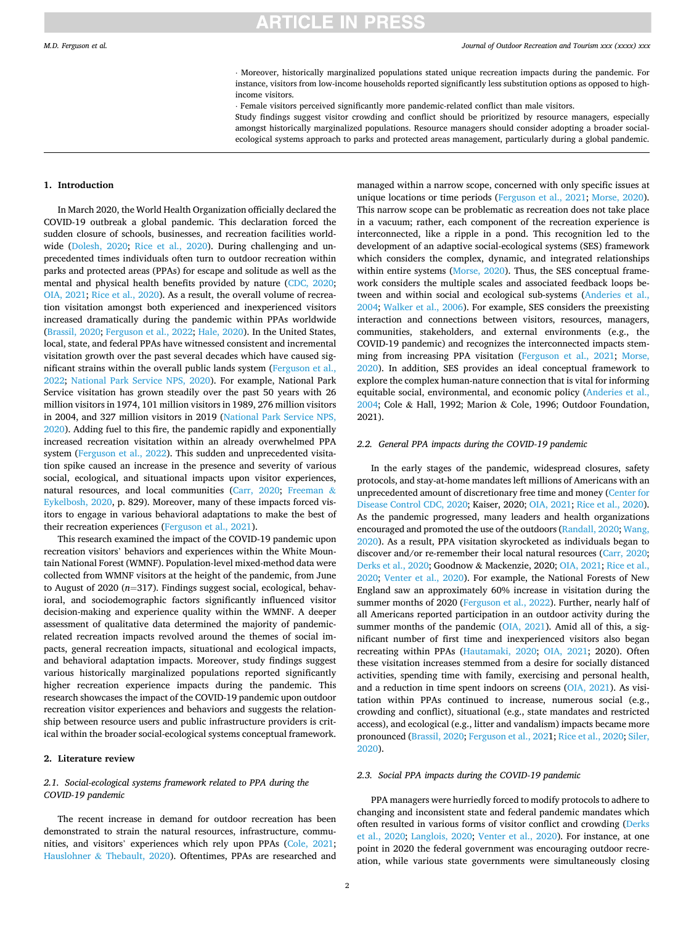#### *Journal of Outdoor Recreation and Tourism xxx (xxxx) xxx*

⋅ Moreover, historically marginalized populations stated unique recreation impacts during the pandemic. For instance, visitors from low-income households reported significantly less substitution options as opposed to highincome visitors.

⋅ Female visitors perceived significantly more pandemic-related conflict than male visitors.

Study findings suggest visitor crowding and conflict should be prioritized by resource managers, especially amongst historically marginalized populations. Resource managers should consider adopting a broader socialecological systems approach to parks and protected areas management, particularly during a global pandemic.

# **1. Introduction**

In March 2020, the World Health Organization officially declared the COVID-19 outbreak a global pandemic. This declaration forced the sudden closure of schools, businesses, and recreation facilities worldwide ([Dolesh, 2020;](#page-8-0) [Rice et al., 2020](#page-9-0)). During challenging and unprecedented times individuals often turn to outdoor recreation within parks and protected areas (PPAs) for escape and solitude as well as the mental and physical health benefits provided by nature [\(CDC, 2020](#page-8-0); [OIA, 2021](#page-9-0); [Rice et al., 2020\)](#page-9-0). As a result, the overall volume of recreation visitation amongst both experienced and inexperienced visitors increased dramatically during the pandemic within PPAs worldwide ([Brassil, 2020](#page-8-0); [Ferguson et al., 2022; Hale, 2020\)](#page-8-0). In the United States, local, state, and federal PPAs have witnessed consistent and incremental visitation growth over the past several decades which have caused significant strains within the overall public lands system [\(Ferguson et al.,](#page-8-0)  [2022;](#page-8-0) [National Park Service NPS, 2020\)](#page-9-0). For example, National Park Service visitation has grown steadily over the past 50 years with 26 million visitors in 1974, 101 million visitors in 1989, 276 million visitors in 2004, and 327 million visitors in 2019 ([National Park Service NPS,](#page-9-0)  [2020\)](#page-9-0). Adding fuel to this fire, the pandemic rapidly and exponentially increased recreation visitation within an already overwhelmed PPA system [\(Ferguson et al., 2022\)](#page-8-0). This sudden and unprecedented visitation spike caused an increase in the presence and severity of various social, ecological, and situational impacts upon visitor experiences, natural resources, and local communities [\(Carr, 2020](#page-8-0); [Freeman](#page-8-0) & [Eykelbosh, 2020](#page-8-0), p. 829). Moreover, many of these impacts forced visitors to engage in various behavioral adaptations to make the best of their recreation experiences [\(Ferguson et al., 2021](#page-8-0)).

This research examined the impact of the COVID-19 pandemic upon recreation visitors' behaviors and experiences within the White Mountain National Forest (WMNF). Population-level mixed-method data were collected from WMNF visitors at the height of the pandemic, from June to August of 2020 (*n*=317). Findings suggest social, ecological, behavioral, and sociodemographic factors significantly influenced visitor decision-making and experience quality within the WMNF. A deeper assessment of qualitative data determined the majority of pandemicrelated recreation impacts revolved around the themes of social impacts, general recreation impacts, situational and ecological impacts, and behavioral adaptation impacts. Moreover, study findings suggest various historically marginalized populations reported significantly higher recreation experience impacts during the pandemic. This research showcases the impact of the COVID-19 pandemic upon outdoor recreation visitor experiences and behaviors and suggests the relationship between resource users and public infrastructure providers is critical within the broader social-ecological systems conceptual framework.

# **2. Literature review**

# *2.1. Social-ecological systems framework related to PPA during the COVID-19 pandemic*

The recent increase in demand for outdoor recreation has been demonstrated to strain the natural resources, infrastructure, communities, and visitors' experiences which rely upon PPAs ([Cole, 2021](#page-8-0); Hauslohner & [Thebault, 2020\)](#page-8-0). Oftentimes, PPAs are researched and managed within a narrow scope, concerned with only specific issues at unique locations or time periods ([Ferguson et al., 2021](#page-8-0); [Morse, 2020](#page-9-0)). This narrow scope can be problematic as recreation does not take place in a vacuum; rather, each component of the recreation experience is interconnected, like a ripple in a pond. This recognition led to the development of an adaptive social-ecological systems (SES) framework which considers the complex, dynamic, and integrated relationships within entire systems ([Morse, 2020](#page-9-0)). Thus, the SES conceptual framework considers the multiple scales and associated feedback loops between and within social and ecological sub-systems [\(Anderies et al.,](#page-8-0)  [2004;](#page-8-0) [Walker et al., 2006\)](#page-9-0). For example, SES considers the preexisting interaction and connections between visitors, resources, managers, communities, stakeholders, and external environments (e.g., the COVID-19 pandemic) and recognizes the interconnected impacts stemming from increasing PPA visitation [\(Ferguson et al., 2021;](#page-8-0) [Morse,](#page-9-0)  [2020\)](#page-9-0). In addition, SES provides an ideal conceptual framework to explore the complex human-nature connection that is vital for informing equitable social, environmental, and economic policy ([Anderies et al.,](#page-8-0)  [2004;](#page-8-0) Cole & Hall, 1992; Marion & Cole, 1996; Outdoor Foundation, 2021).

#### *2.2. General PPA impacts during the COVID-19 pandemic*

In the early stages of the pandemic, widespread closures, safety protocols, and stay-at-home mandates left millions of Americans with an unprecedented amount of discretionary free time and money ([Center for](#page-8-0)  [Disease Control CDC, 2020](#page-8-0); Kaiser, 2020; [OIA, 2021; Rice et al., 2020](#page-9-0)). As the pandemic progressed, many leaders and health organizations encouraged and promoted the use of the outdoors ([Randall, 2020](#page-9-0); [Wang,](#page-9-0)  [2020\)](#page-9-0). As a result, PPA visitation skyrocketed as individuals began to discover and/or re-remember their local natural resources ([Carr, 2020](#page-8-0); [Derks et al., 2020](#page-8-0); Goodnow & Mackenzie, 2020; [OIA, 2021; Rice et al.,](#page-9-0)  [2020;](#page-9-0) [Venter et al., 2020](#page-9-0)). For example, the National Forests of New England saw an approximately 60% increase in visitation during the summer months of 2020 ([Ferguson et al., 2022](#page-8-0)). Further, nearly half of all Americans reported participation in an outdoor activity during the summer months of the pandemic [\(OIA, 2021](#page-9-0)). Amid all of this, a significant number of first time and inexperienced visitors also began recreating within PPAs ([Hautamaki, 2020;](#page-8-0) [OIA, 2021;](#page-9-0) 2020). Often these visitation increases stemmed from a desire for socially distanced activities, spending time with family, exercising and personal health, and a reduction in time spent indoors on screens [\(OIA, 2021\)](#page-9-0). As visitation within PPAs continued to increase, numerous social (e.g., crowding and conflict), situational (e.g., state mandates and restricted access), and ecological (e.g., litter and vandalism) impacts became more pronounced [\(Brassil, 2020](#page-8-0); [Ferguson et al., 2021](#page-8-0); [Rice et al., 2020](#page-9-0); [Siler,](#page-9-0)  [2020\)](#page-9-0).

#### *2.3. Social PPA impacts during the COVID-19 pandemic*

PPA managers were hurriedly forced to modify protocols to adhere to changing and inconsistent state and federal pandemic mandates which often resulted in various forms of visitor conflict and crowding ([Derks](#page-8-0)  [et al., 2020;](#page-8-0) [Langlois, 2020](#page-8-0); [Venter et al., 2020](#page-9-0)). For instance, at one point in 2020 the federal government was encouraging outdoor recreation, while various state governments were simultaneously closing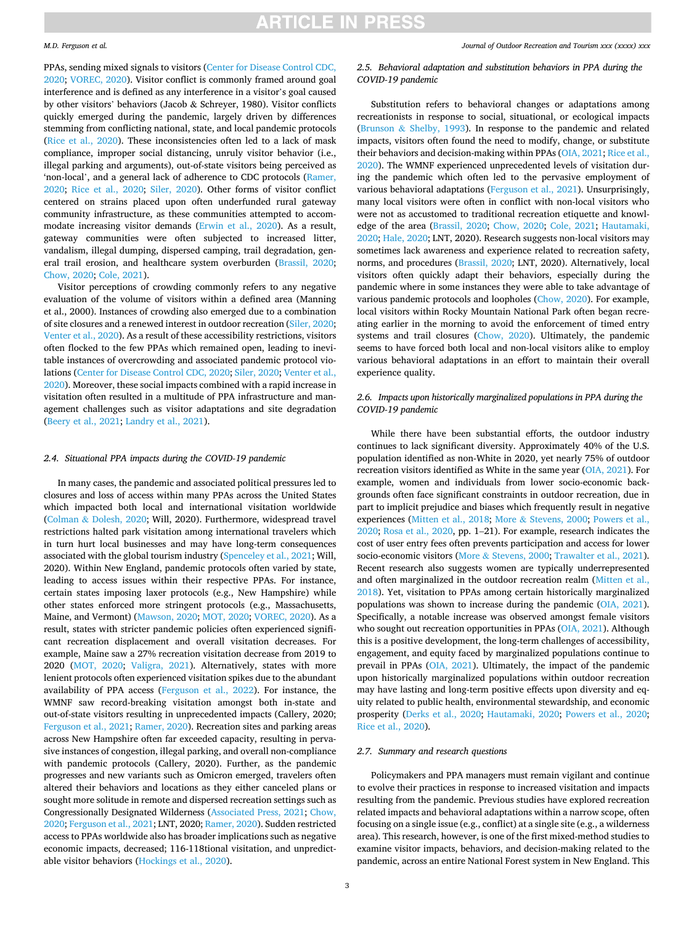### *M.D. Ferguson et al.*

PPAs, sending mixed signals to visitors [\(Center for Disease Control CDC,](#page-8-0)  [2020;](#page-8-0) [VOREC, 2020\)](#page-9-0). Visitor conflict is commonly framed around goal interference and is defined as any interference in a visitor's goal caused by other visitors' behaviors (Jacob & Schreyer, 1980). Visitor conflicts quickly emerged during the pandemic, largely driven by differences stemming from conflicting national, state, and local pandemic protocols ([Rice et al., 2020](#page-9-0)). These inconsistencies often led to a lack of mask compliance, improper social distancing, unruly visitor behavior (i.e., illegal parking and arguments), out-of-state visitors being perceived as 'non-local', and a general lack of adherence to CDC protocols [\(Ramer,](#page-9-0)  [2020;](#page-9-0) [Rice et al., 2020](#page-9-0); [Siler, 2020](#page-9-0)). Other forms of visitor conflict centered on strains placed upon often underfunded rural gateway community infrastructure, as these communities attempted to accommodate increasing visitor demands ([Erwin et al., 2020](#page-8-0)). As a result, gateway communities were often subjected to increased litter, vandalism, illegal dumping, dispersed camping, trail degradation, general trail erosion, and healthcare system overburden [\(Brassil, 2020](#page-8-0); [Chow, 2020](#page-8-0); [Cole, 2021](#page-8-0)).

Visitor perceptions of crowding commonly refers to any negative evaluation of the volume of visitors within a defined area (Manning et al., 2000). Instances of crowding also emerged due to a combination of site closures and a renewed interest in outdoor recreation ([Siler, 2020](#page-9-0); [Venter et al., 2020\)](#page-9-0). As a result of these accessibility restrictions, visitors often flocked to the few PPAs which remained open, leading to inevitable instances of overcrowding and associated pandemic protocol violations [\(Center for Disease Control CDC, 2020](#page-8-0); [Siler, 2020; Venter et al.,](#page-9-0)  [2020\)](#page-9-0). Moreover, these social impacts combined with a rapid increase in visitation often resulted in a multitude of PPA infrastructure and management challenges such as visitor adaptations and site degradation ([Beery et al., 2021](#page-8-0); [Landry et al., 2021](#page-8-0)).

### *2.4. Situational PPA impacts during the COVID-19 pandemic*

In many cases, the pandemic and associated political pressures led to closures and loss of access within many PPAs across the United States which impacted both local and international visitation worldwide (Colman & [Dolesh, 2020;](#page-8-0) Will, 2020). Furthermore, widespread travel restrictions halted park visitation among international travelers which in turn hurt local businesses and may have long-term consequences associated with the global tourism industry [\(Spenceley et al., 2021;](#page-9-0) Will, 2020). Within New England, pandemic protocols often varied by state, leading to access issues within their respective PPAs. For instance, certain states imposing laxer protocols (e.g., New Hampshire) while other states enforced more stringent protocols (e.g., Massachusetts, Maine, and Vermont) ([Mawson, 2020; MOT, 2020;](#page-8-0) [VOREC, 2020\)](#page-9-0). As a result, states with stricter pandemic policies often experienced significant recreation displacement and overall visitation decreases. For example, Maine saw a 27% recreation visitation decrease from 2019 to 2020 [\(MOT, 2020;](#page-8-0) [Valigra, 2021\)](#page-9-0). Alternatively, states with more lenient protocols often experienced visitation spikes due to the abundant availability of PPA access ([Ferguson et al., 2022\)](#page-8-0). For instance, the WMNF saw record-breaking visitation amongst both in-state and out-of-state visitors resulting in unprecedented impacts (Callery, 2020; [Ferguson et al., 2021;](#page-8-0) [Ramer, 2020](#page-9-0)). Recreation sites and parking areas across New Hampshire often far exceeded capacity, resulting in pervasive instances of congestion, illegal parking, and overall non-compliance with pandemic protocols (Callery, 2020). Further, as the pandemic progresses and new variants such as Omicron emerged, travelers often altered their behaviors and locations as they either canceled plans or sought more solitude in remote and dispersed recreation settings such as Congressionally Designated Wilderness [\(Associated Press, 2021; Chow,](#page-8-0)  [2020; Ferguson et al., 2021;](#page-8-0) LNT, 2020; [Ramer, 2020\)](#page-9-0). Sudden restricted access to PPAs worldwide also has broader implications such as negative economic impacts, decreased; 116-118tional visitation, and unpredictable visitor behaviors [\(Hockings et al., 2020](#page-8-0)).

*Journal of Outdoor Recreation and Tourism xxx (xxxx) xxx*

# *2.5. Behavioral adaptation and substitution behaviors in PPA during the COVID-19 pandemic*

Substitution refers to behavioral changes or adaptations among recreationists in response to social, situational, or ecological impacts (Brunson & [Shelby, 1993](#page-8-0)). In response to the pandemic and related impacts, visitors often found the need to modify, change, or substitute their behaviors and decision-making within PPAs [\(OIA, 2021; Rice et al.,](#page-9-0)  [2020\)](#page-9-0). The WMNF experienced unprecedented levels of visitation during the pandemic which often led to the pervasive employment of various behavioral adaptations [\(Ferguson et al., 2021\)](#page-8-0). Unsurprisingly, many local visitors were often in conflict with non-local visitors who were not as accustomed to traditional recreation etiquette and knowledge of the area ([Brassil, 2020](#page-8-0); [Chow, 2020](#page-8-0); [Cole, 2021](#page-8-0); [Hautamaki,](#page-8-0)  [2020; Hale, 2020](#page-8-0); LNT, 2020). Research suggests non-local visitors may sometimes lack awareness and experience related to recreation safety, norms, and procedures ([Brassil, 2020;](#page-8-0) LNT, 2020). Alternatively, local visitors often quickly adapt their behaviors, especially during the pandemic where in some instances they were able to take advantage of various pandemic protocols and loopholes [\(Chow, 2020](#page-8-0)). For example, local visitors within Rocky Mountain National Park often began recreating earlier in the morning to avoid the enforcement of timed entry systems and trail closures ([Chow, 2020\)](#page-8-0). Ultimately, the pandemic seems to have forced both local and non-local visitors alike to employ various behavioral adaptations in an effort to maintain their overall experience quality.

# *2.6. Impacts upon historically marginalized populations in PPA during the COVID-19 pandemic*

While there have been substantial efforts, the outdoor industry continues to lack significant diversity. Approximately 40% of the U.S. population identified as non-White in 2020, yet nearly 75% of outdoor recreation visitors identified as White in the same year ([OIA, 2021\)](#page-9-0). For example, women and individuals from lower socio-economic backgrounds often face significant constraints in outdoor recreation, due in part to implicit prejudice and biases which frequently result in negative experiences [\(Mitten et al., 2018](#page-9-0); More & [Stevens, 2000](#page-9-0); [Powers et al.,](#page-9-0)  [2020; Rosa et al., 2020,](#page-9-0) pp. 1–21). For example, research indicates the cost of user entry fees often prevents participation and access for lower socio-economic visitors (More & [Stevens, 2000; Trawalter et al., 2021](#page-9-0)). Recent research also suggests women are typically underrepresented and often marginalized in the outdoor recreation realm [\(Mitten et al.,](#page-9-0)  [2018\)](#page-9-0). Yet, visitation to PPAs among certain historically marginalized populations was shown to increase during the pandemic ([OIA, 2021](#page-9-0)). Specifically, a notable increase was observed amongst female visitors who sought out recreation opportunities in PPAs ([OIA, 2021\)](#page-9-0). Although this is a positive development, the long-term challenges of accessibility, engagement, and equity faced by marginalized populations continue to prevail in PPAs ([OIA, 2021\)](#page-9-0). Ultimately, the impact of the pandemic upon historically marginalized populations within outdoor recreation may have lasting and long-term positive effects upon diversity and equity related to public health, environmental stewardship, and economic prosperity ([Derks et al., 2020](#page-8-0); [Hautamaki, 2020](#page-8-0); [Powers et al., 2020](#page-9-0); [Rice et al., 2020](#page-9-0)).

## *2.7. Summary and research questions*

Policymakers and PPA managers must remain vigilant and continue to evolve their practices in response to increased visitation and impacts resulting from the pandemic. Previous studies have explored recreation related impacts and behavioral adaptations within a narrow scope, often focusing on a single issue (e.g., conflict) at a single site (e.g., a wilderness area). This research, however, is one of the first mixed-method studies to examine visitor impacts, behaviors, and decision-making related to the pandemic, across an entire National Forest system in New England. This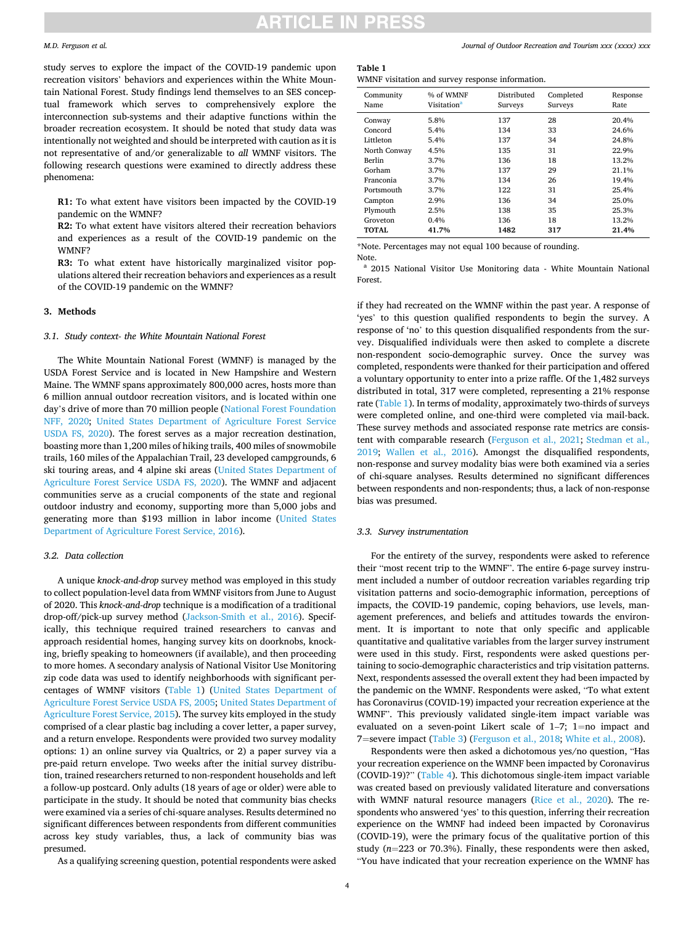#### *M.D. Ferguson et al.*

study serves to explore the impact of the COVID-19 pandemic upon recreation visitors' behaviors and experiences within the White Mountain National Forest. Study findings lend themselves to an SES conceptual framework which serves to comprehensively explore the interconnection sub-systems and their adaptive functions within the broader recreation ecosystem. It should be noted that study data was intentionally not weighted and should be interpreted with caution as it is not representative of and/or generalizable to *all* WMNF visitors. The following research questions were examined to directly address these phenomena:

**R1:** To what extent have visitors been impacted by the COVID-19 pandemic on the WMNF?

**R2:** To what extent have visitors altered their recreation behaviors and experiences as a result of the COVID-19 pandemic on the WMNF?

**R3:** To what extent have historically marginalized visitor populations altered their recreation behaviors and experiences as a result of the COVID-19 pandemic on the WMNF?

### **3. Methods**

*3.1. Study context- the White Mountain National Forest* 

The White Mountain National Forest (WMNF) is managed by the USDA Forest Service and is located in New Hampshire and Western Maine. The WMNF spans approximately 800,000 acres, hosts more than 6 million annual outdoor recreation visitors, and is located within one day's drive of more than 70 million people ([National Forest Foundation](#page-9-0)  [NFF, 2020](#page-9-0); [United States Department of Agriculture Forest Service](#page-9-0)  [USDA FS, 2020\)](#page-9-0). The forest serves as a major recreation destination, boasting more than 1,200 miles of hiking trails, 400 miles of snowmobile trails, 160 miles of the Appalachian Trail, 23 developed campgrounds, 6 ski touring areas, and 4 alpine ski areas [\(United States Department of](#page-9-0)  [Agriculture Forest Service USDA FS, 2020](#page-9-0)). The WMNF and adjacent communities serve as a crucial components of the state and regional outdoor industry and economy, supporting more than 5,000 jobs and generating more than \$193 million in labor income [\(United States](#page-9-0)  [Department of Agriculture Forest Service, 2016](#page-9-0)).

# *3.2. Data collection*

A unique *knock-and-drop* survey method was employed in this study to collect population-level data from WMNF visitors from June to August of 2020. This *knock-and-drop* technique is a modification of a traditional drop-off/pick-up survey method ([Jackson-Smith et al., 2016](#page-8-0)). Specifically, this technique required trained researchers to canvas and approach residential homes, hanging survey kits on doorknobs, knocking, briefly speaking to homeowners (if available), and then proceeding to more homes. A secondary analysis of National Visitor Use Monitoring zip code data was used to identify neighborhoods with significant percentages of WMNF visitors (Table 1) ([United States Department of](#page-9-0)  [Agriculture Forest Service USDA FS, 2005; United States Department of](#page-9-0)  [Agriculture Forest Service, 2015](#page-9-0)). The survey kits employed in the study comprised of a clear plastic bag including a cover letter, a paper survey, and a return envelope. Respondents were provided two survey modality options: 1) an online survey via Qualtrics, or 2) a paper survey via a pre-paid return envelope. Two weeks after the initial survey distribution, trained researchers returned to non-respondent households and left a follow-up postcard. Only adults (18 years of age or older) were able to participate in the study. It should be noted that community bias checks were examined via a series of chi-square analyses. Results determined no significant differences between respondents from different communities across key study variables, thus, a lack of community bias was presumed.

As a qualifying screening question, potential respondents were asked

#### **Table 1**

WMNF visitation and survey response information.

| Community<br>Name | % of WMNF<br>Visitation <sup>a</sup> | Distributed<br>Surveys | Completed<br>Surveys | Response<br>Rate |
|-------------------|--------------------------------------|------------------------|----------------------|------------------|
| Conway            | 5.8%                                 | 137                    | 28                   | 20.4%            |
| Concord           | 5.4%                                 | 134                    | 33                   | 24.6%            |
| Littleton         | 5.4%                                 | 137                    | 34                   | 24.8%            |
| North Conway      | 4.5%                                 | 135                    | 31                   | 22.9%            |
| Berlin            | 3.7%                                 | 136                    | 18                   | 13.2%            |
| Gorham            | 3.7%                                 | 137                    | 29                   | 21.1%            |
| Franconia         | 3.7%                                 | 134                    | 26                   | 19.4%            |
| Portsmouth        | 3.7%                                 | 122                    | 31                   | 25.4%            |
| Campton           | 2.9%                                 | 136                    | 34                   | 25.0%            |
| Plymouth          | 2.5%                                 | 138                    | 35                   | 25.3%            |
| Groveton          | 0.4%                                 | 136                    | 18                   | 13.2%            |
| <b>TOTAL</b>      | 41.7%                                | 1482                   | 317                  | 21.4%            |

\*Note. Percentages may not equal 100 because of rounding.

Note.

<sup>a</sup> 2015 National Visitor Use Monitoring data - White Mountain National Forest.

if they had recreated on the WMNF within the past year. A response of 'yes' to this question qualified respondents to begin the survey. A response of 'no' to this question disqualified respondents from the survey. Disqualified individuals were then asked to complete a discrete non-respondent socio-demographic survey. Once the survey was completed, respondents were thanked for their participation and offered a voluntary opportunity to enter into a prize raffle. Of the 1,482 surveys distributed in total, 317 were completed, representing a 21% response rate (Table 1). In terms of modality, approximately two-thirds of surveys were completed online, and one-third were completed via mail-back. These survey methods and associated response rate metrics are consistent with comparable research [\(Ferguson et al., 2021](#page-8-0); [Stedman et al.,](#page-9-0)  [2019;](#page-9-0) [Wallen et al., 2016\)](#page-9-0). Amongst the disqualified respondents, non-response and survey modality bias were both examined via a series of chi-square analyses. Results determined no significant differences between respondents and non-respondents; thus, a lack of non-response bias was presumed.

#### *3.3. Survey instrumentation*

For the entirety of the survey, respondents were asked to reference their "most recent trip to the WMNF". The entire 6-page survey instrument included a number of outdoor recreation variables regarding trip visitation patterns and socio-demographic information, perceptions of impacts, the COVID-19 pandemic, coping behaviors, use levels, management preferences, and beliefs and attitudes towards the environment. It is important to note that only specific and applicable quantitative and qualitative variables from the larger survey instrument were used in this study. First, respondents were asked questions pertaining to socio-demographic characteristics and trip visitation patterns. Next, respondents assessed the overall extent they had been impacted by the pandemic on the WMNF. Respondents were asked, "To what extent has Coronavirus (COVID-19) impacted your recreation experience at the WMNF". This previously validated single-item impact variable was evaluated on a seven-point Likert scale of 1–7; 1=no impact and 7=severe impact [\(Table 3\)](#page-4-0) [\(Ferguson et al., 2018;](#page-8-0) [White et al., 2008](#page-9-0)).

Respondents were then asked a dichotomous yes/no question, "Has your recreation experience on the WMNF been impacted by Coronavirus (COVID-19)?" [\(Table 4\)](#page-4-0). This dichotomous single-item impact variable was created based on previously validated literature and conversations with WMNF natural resource managers ([Rice et al., 2020\)](#page-9-0). The respondents who answered 'yes' to this question, inferring their recreation experience on the WMNF had indeed been impacted by Coronavirus (COVID-19), were the primary focus of the qualitative portion of this study (*n*=223 or 70.3%). Finally, these respondents were then asked, "You have indicated that your recreation experience on the WMNF has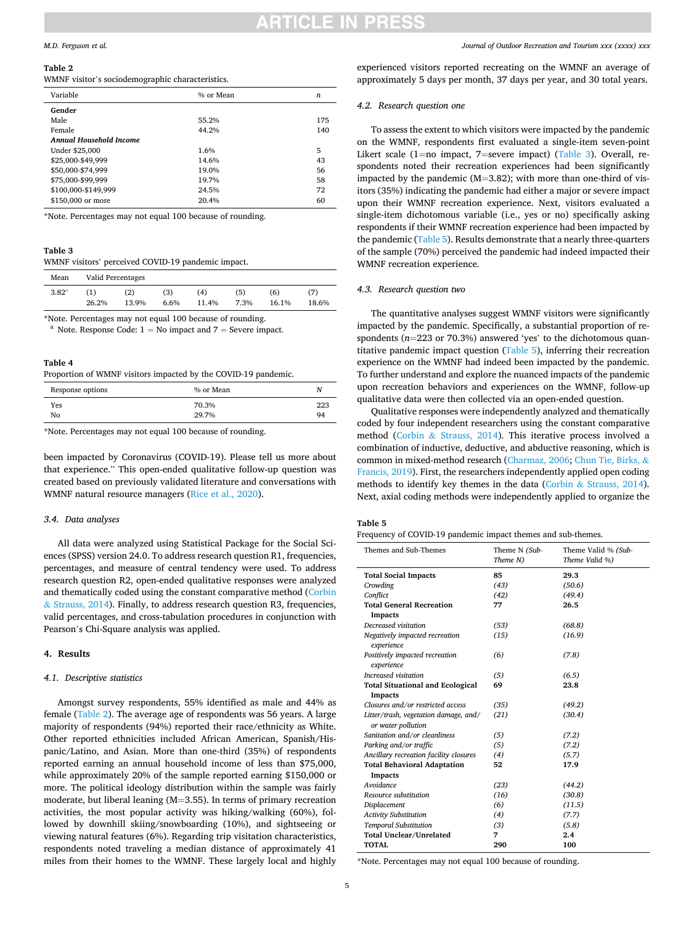# TICI E IN 1

#### <span id="page-4-0"></span>*M.D. Ferguson et al.*

#### **Table 2**

WMNF visitor's sociodemographic characteristics.

| Variable                       | % or Mean | n   |
|--------------------------------|-----------|-----|
| Gender                         |           |     |
| Male                           | 55.2%     | 175 |
| Female                         | 44.2%     | 140 |
| <b>Annual Household Income</b> |           |     |
| Under \$25,000                 | 1.6%      | 5   |
| \$25,000-\$49,999              | 14.6%     | 43  |
| \$50,000-\$74,999              | 19.0%     | 56  |
| \$75,000-\$99,999              | 19.7%     | 58  |
| \$100,000-\$149,999            | 24.5%     | 72  |
| \$150,000 or more              | 20.4%     | 60  |
|                                |           |     |

\*Note. Percentages may not equal 100 because of rounding.

# **Table 3**

WMNF visitors' perceived COVID-19 pandemic impact.

| Mean              |              | Valid Percentages |             |              |             |              |              |
|-------------------|--------------|-------------------|-------------|--------------|-------------|--------------|--------------|
| 3.82 <sup>a</sup> | 〔1〕<br>26.2% | (2)<br>13.9%      | (3)<br>6.6% | (4)<br>11.4% | (5)<br>7.3% | (6)<br>16.1% | (7)<br>18.6% |
|                   |              |                   |             |              |             |              |              |

\*Note. Percentages may not equal 100 because of rounding.<br><sup>a</sup> Note. Response Code:  $1 = No$  impact and  $7 =$  Severe impact.

### **Table 4**

Proportion of WMNF visitors impacted by the COVID-19 pandemic.

| Response options | % or Mean      | Ν         |
|------------------|----------------|-----------|
| Yes<br>No        | 70.3%<br>29.7% | 223<br>94 |
|                  |                |           |

\*Note. Percentages may not equal 100 because of rounding.

been impacted by Coronavirus (COVID-19). Please tell us more about that experience." This open-ended qualitative follow-up question was created based on previously validated literature and conversations with WMNF natural resource managers ([Rice et al., 2020](#page-9-0)).

#### *3.4. Data analyses*

All data were analyzed using Statistical Package for the Social Sciences (SPSS) version 24.0. To address research question R1, frequencies, percentages, and measure of central tendency were used. To address research question R2, open-ended qualitative responses were analyzed and thematically coded using the constant comparative method ([Corbin](#page-8-0)  & [Strauss, 2014\)](#page-8-0). Finally, to address research question R3, frequencies, valid percentages, and cross-tabulation procedures in conjunction with Pearson's Chi-Square analysis was applied.

# **4. Results**

#### *4.1. Descriptive statistics*

Amongst survey respondents, 55% identified as male and 44% as female (Table 2). The average age of respondents was 56 years. A large majority of respondents (94%) reported their race/ethnicity as White. Other reported ethnicities included African American, Spanish/Hispanic/Latino, and Asian. More than one-third (35%) of respondents reported earning an annual household income of less than \$75,000, while approximately 20% of the sample reported earning \$150,000 or more. The political ideology distribution within the sample was fairly moderate, but liberal leaning (M=3.55). In terms of primary recreation activities, the most popular activity was hiking/walking (60%), followed by downhill skiing/snowboarding (10%), and sightseeing or viewing natural features (6%). Regarding trip visitation characteristics, respondents noted traveling a median distance of approximately 41 miles from their homes to the WMNF. These largely local and highly

experienced visitors reported recreating on the WMNF an average of approximately 5 days per month, 37 days per year, and 30 total years.

# *4.2. Research question one*

To assess the extent to which visitors were impacted by the pandemic on the WMNF, respondents first evaluated a single-item seven-point Likert scale (1=no impact, 7=severe impact) (Table 3). Overall, respondents noted their recreation experiences had been significantly impacted by the pandemic (M=3.82); with more than one-third of visitors (35%) indicating the pandemic had either a major or severe impact upon their WMNF recreation experience. Next, visitors evaluated a single-item dichotomous variable (i.e., yes or no) specifically asking respondents if their WMNF recreation experience had been impacted by the pandemic (Table 5). Results demonstrate that a nearly three-quarters of the sample (70%) perceived the pandemic had indeed impacted their WMNF recreation experience.

## *4.3. Research question two*

The quantitative analyses suggest WMNF visitors were significantly impacted by the pandemic. Specifically, a substantial proportion of respondents (*n*=223 or 70.3%) answered 'yes' to the dichotomous quantitative pandemic impact question (Table 5), inferring their recreation experience on the WMNF had indeed been impacted by the pandemic. To further understand and explore the nuanced impacts of the pandemic upon recreation behaviors and experiences on the WMNF, follow-up qualitative data were then collected via an open-ended question.

Qualitative responses were independently analyzed and thematically coded by four independent researchers using the constant comparative method (Corbin & [Strauss, 2014\)](#page-8-0). This iterative process involved a combination of inductive, deductive, and abductive reasoning, which is common in mixed-method research ([Charmaz, 2006](#page-8-0); [Chun Tie, Birks,](#page-8-0) & [Francis, 2019\)](#page-8-0). First, the researchers independently applied open coding methods to identify key themes in the data (Corbin & [Strauss, 2014](#page-8-0)). Next, axial coding methods were independently applied to organize the

#### **Table 5**

Frequency of COVID-19 pandemic impact themes and sub-themes.

| Themes and Sub-Themes                   | Theme N (Sub- | Theme Valid % (Sub- |
|-----------------------------------------|---------------|---------------------|
|                                         | Theme N)      | Theme Valid %)      |
| <b>Total Social Impacts</b>             | 85            | 29.3                |
| Crowding                                | (43)          | (50.6)              |
| Conflict                                | (42)          | (49.4)              |
| <b>Total General Recreation</b>         | 77            | 26.5                |
| <b>Impacts</b>                          |               |                     |
| Decreased visitation                    | (53)          | (68.8)              |
| Negatively impacted recreation          | (15)          | (16.9)              |
| experience                              |               |                     |
| Positively impacted recreation          | (6)           | (7.8)               |
| experience                              |               |                     |
| Increased visitation                    | (5)           | (6.5)               |
| <b>Total Situational and Ecological</b> | 69            | 23.8                |
| <b>Impacts</b>                          |               |                     |
| Closures and/or restricted access       | (35)          | (49.2)              |
| Litter/trash, vegetation damage, and/   | (21)          | (30.4)              |
| or water pollution                      |               |                     |
| Sanitation and/or cleanliness           | (5)           | (7.2)               |
| Parking and/or traffic                  | (5)           | (7.2)               |
| Ancillary recreation facility closures  | (4)           | (5.7)               |
| <b>Total Behavioral Adaptation</b>      | 52            | 17.9                |
| <b>Impacts</b>                          |               |                     |
| Avoidance                               | (23)          | (44.2)              |
| Resource substitution                   | (16)          | (30.8)              |
| Displacement                            | (6)           | (11.5)              |
| <b>Activity Substitution</b>            | (4)           | (7.7)               |
| <b>Temporal Substitution</b>            | (3)           | (5.8)               |
| <b>Total Unclear/Unrelated</b>          | 7             | 2.4                 |
| <b>TOTAL</b>                            | 290           | 100                 |

\*Note. Percentages may not equal 100 because of rounding.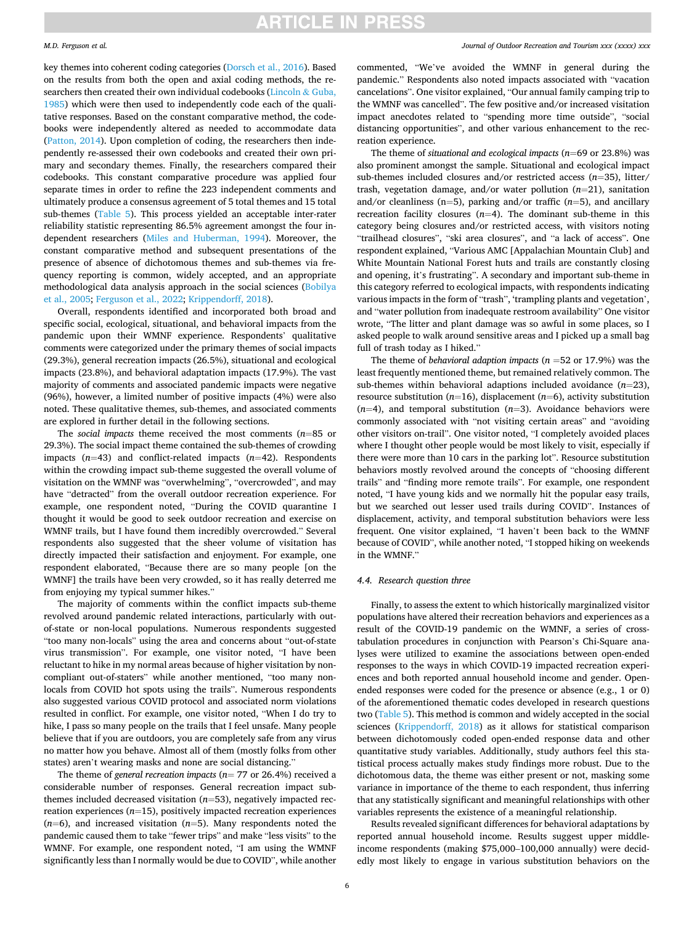#### *M.D. Ferguson et al.*

key themes into coherent coding categories ([Dorsch et al., 2016\)](#page-8-0). Based on the results from both the open and axial coding methods, the researchers then created their own individual codebooks [\(Lincoln](#page-8-0) & Guba, [1985\)](#page-8-0) which were then used to independently code each of the qualitative responses. Based on the constant comparative method, the codebooks were independently altered as needed to accommodate data ([Patton, 2014](#page-9-0)). Upon completion of coding, the researchers then independently re-assessed their own codebooks and created their own primary and secondary themes. Finally, the researchers compared their codebooks. This constant comparative procedure was applied four separate times in order to refine the 223 independent comments and ultimately produce a consensus agreement of 5 total themes and 15 total sub-themes [\(Table 5\)](#page-4-0). This process yielded an acceptable inter-rater reliability statistic representing 86.5% agreement amongst the four independent researchers ([Miles and Huberman, 1994\)](#page-8-0). Moreover, the constant comparative method and subsequent presentations of the presence of absence of dichotomous themes and sub-themes via frequency reporting is common, widely accepted, and an appropriate methodological data analysis approach in the social sciences [\(Bobilya](#page-8-0)  [et al., 2005; Ferguson et al., 2022](#page-8-0); [Krippendorff, 2018](#page-8-0)).

Overall, respondents identified and incorporated both broad and specific social, ecological, situational, and behavioral impacts from the pandemic upon their WMNF experience. Respondents' qualitative comments were categorized under the primary themes of social impacts (29.3%), general recreation impacts (26.5%), situational and ecological impacts (23.8%), and behavioral adaptation impacts (17.9%). The vast majority of comments and associated pandemic impacts were negative (96%), however, a limited number of positive impacts (4%) were also noted. These qualitative themes, sub-themes, and associated comments are explored in further detail in the following sections.

The *social impacts* theme received the most comments (*n*=85 or 29.3%). The social impact theme contained the sub-themes of crowding impacts (*n*=43) and conflict-related impacts (*n*=42). Respondents within the crowding impact sub-theme suggested the overall volume of visitation on the WMNF was "overwhelming", "overcrowded", and may have "detracted" from the overall outdoor recreation experience. For example, one respondent noted, "During the COVID quarantine I thought it would be good to seek outdoor recreation and exercise on WMNF trails, but I have found them incredibly overcrowded." Several respondents also suggested that the sheer volume of visitation has directly impacted their satisfaction and enjoyment. For example, one respondent elaborated, "Because there are so many people [on the WMNF] the trails have been very crowded, so it has really deterred me from enjoying my typical summer hikes."

The majority of comments within the conflict impacts sub-theme revolved around pandemic related interactions, particularly with outof-state or non-local populations. Numerous respondents suggested "too many non-locals" using the area and concerns about "out-of-state virus transmission". For example, one visitor noted, "I have been reluctant to hike in my normal areas because of higher visitation by noncompliant out-of-staters" while another mentioned, "too many nonlocals from COVID hot spots using the trails". Numerous respondents also suggested various COVID protocol and associated norm violations resulted in conflict. For example, one visitor noted, "When I do try to hike, I pass so many people on the trails that I feel unsafe. Many people believe that if you are outdoors, you are completely safe from any virus no matter how you behave. Almost all of them (mostly folks from other states) aren't wearing masks and none are social distancing."

The theme of *general recreation impacts* (*n*= 77 or 26.4%) received a considerable number of responses. General recreation impact subthemes included decreased visitation (*n*=53), negatively impacted recreation experiences (*n*=15), positively impacted recreation experiences (*n*=6), and increased visitation (*n*=5). Many respondents noted the pandemic caused them to take "fewer trips" and make "less visits" to the WMNF. For example, one respondent noted, "I am using the WMNF significantly less than I normally would be due to COVID", while another

### *Journal of Outdoor Recreation and Tourism xxx (xxxx) xxx*

commented, "We've avoided the WMNF in general during the pandemic." Respondents also noted impacts associated with "vacation cancelations". One visitor explained, "Our annual family camping trip to the WMNF was cancelled". The few positive and/or increased visitation impact anecdotes related to "spending more time outside", "social distancing opportunities", and other various enhancement to the recreation experience.

The theme of *situational and ecological impacts* (*n*=69 or 23.8%) was also prominent amongst the sample. Situational and ecological impact sub-themes included closures and/or restricted access (*n*=35), litter/ trash, vegetation damage, and/or water pollution (*n*=21), sanitation and/or cleanliness (n=5), parking and/or traffic (*n*=5), and ancillary recreation facility closures  $(n=4)$ . The dominant sub-theme in this category being closures and/or restricted access, with visitors noting "trailhead closures", "ski area closures", and "a lack of access". One respondent explained, "Various AMC [Appalachian Mountain Club] and White Mountain National Forest huts and trails are constantly closing and opening, it's frustrating". A secondary and important sub-theme in this category referred to ecological impacts, with respondents indicating various impacts in the form of "trash", 'trampling plants and vegetation', and "water pollution from inadequate restroom availability" One visitor wrote, "The litter and plant damage was so awful in some places, so I asked people to walk around sensitive areas and I picked up a small bag full of trash today as I hiked."

The theme of *behavioral adaption impacts* (*n* =52 or 17.9%) was the least frequently mentioned theme, but remained relatively common. The sub-themes within behavioral adaptions included avoidance (*n*=23), resource substitution (*n*=16), displacement (*n*=6), activity substitution  $(n=4)$ , and temporal substitution  $(n=3)$ . Avoidance behaviors were commonly associated with "not visiting certain areas" and "avoiding other visitors on-trail". One visitor noted, "I completely avoided places where I thought other people would be most likely to visit, especially if there were more than 10 cars in the parking lot". Resource substitution behaviors mostly revolved around the concepts of "choosing different trails" and "finding more remote trails". For example, one respondent noted, "I have young kids and we normally hit the popular easy trails, but we searched out lesser used trails during COVID". Instances of displacement, activity, and temporal substitution behaviors were less frequent. One visitor explained, "I haven't been back to the WMNF because of COVID", while another noted, "I stopped hiking on weekends in the WMNF."

#### *4.4. Research question three*

Finally, to assess the extent to which historically marginalized visitor populations have altered their recreation behaviors and experiences as a result of the COVID-19 pandemic on the WMNF, a series of crosstabulation procedures in conjunction with Pearson's Chi-Square analyses were utilized to examine the associations between open-ended responses to the ways in which COVID-19 impacted recreation experiences and both reported annual household income and gender. Openended responses were coded for the presence or absence (e.g., 1 or 0) of the aforementioned thematic codes developed in research questions two ([Table 5\)](#page-4-0). This method is common and widely accepted in the social sciences [\(Krippendorff, 2018](#page-8-0)) as it allows for statistical comparison between dichotomously coded open-ended response data and other quantitative study variables. Additionally, study authors feel this statistical process actually makes study findings more robust. Due to the dichotomous data, the theme was either present or not, masking some variance in importance of the theme to each respondent, thus inferring that any statistically significant and meaningful relationships with other variables represents the existence of a meaningful relationship.

Results revealed significant differences for behavioral adaptations by reported annual household income. Results suggest upper middleincome respondents (making \$75,000–100,000 annually) were decidedly most likely to engage in various substitution behaviors on the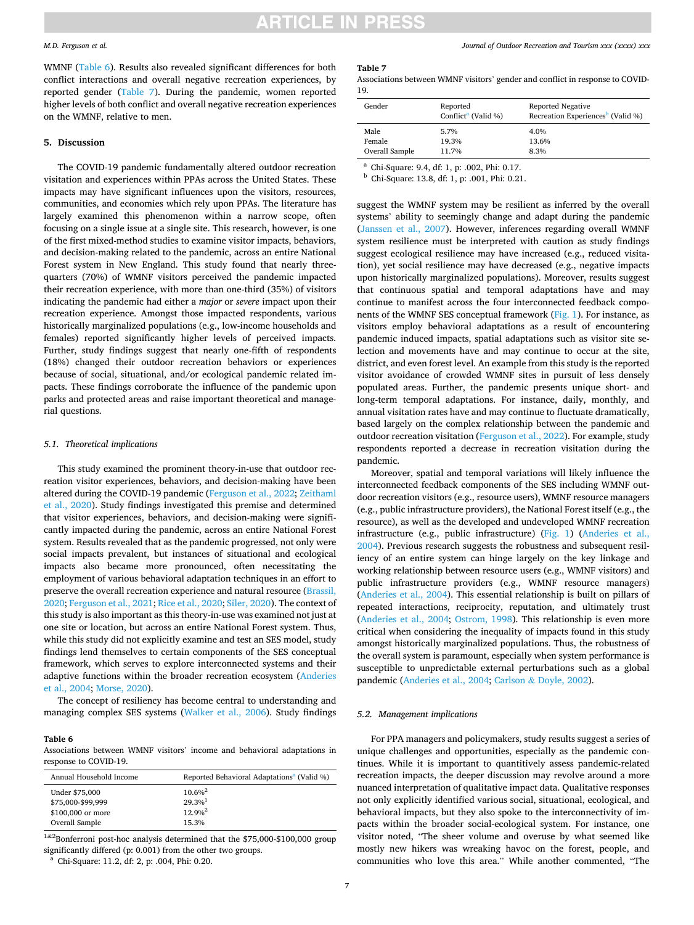#### *M.D. Ferguson et al.*

WMNF (Table 6). Results also revealed significant differences for both conflict interactions and overall negative recreation experiences, by reported gender (Table 7). During the pandemic, women reported higher levels of both conflict and overall negative recreation experiences on the WMNF, relative to men.

# **5. Discussion**

The COVID-19 pandemic fundamentally altered outdoor recreation visitation and experiences within PPAs across the United States. These impacts may have significant influences upon the visitors, resources, communities, and economies which rely upon PPAs. The literature has largely examined this phenomenon within a narrow scope, often focusing on a single issue at a single site. This research, however, is one of the first mixed-method studies to examine visitor impacts, behaviors, and decision-making related to the pandemic, across an entire National Forest system in New England. This study found that nearly threequarters (70%) of WMNF visitors perceived the pandemic impacted their recreation experience, with more than one-third (35%) of visitors indicating the pandemic had either a *major* or *severe* impact upon their recreation experience. Amongst those impacted respondents, various historically marginalized populations (e.g., low-income households and females) reported significantly higher levels of perceived impacts. Further, study findings suggest that nearly one-fifth of respondents (18%) changed their outdoor recreation behaviors or experiences because of social, situational, and/or ecological pandemic related impacts. These findings corroborate the influence of the pandemic upon parks and protected areas and raise important theoretical and managerial questions.

### *5.1. Theoretical implications*

This study examined the prominent theory-in-use that outdoor recreation visitor experiences, behaviors, and decision-making have been altered during the COVID-19 pandemic ([Ferguson et al., 2022](#page-8-0); [Zeithaml](#page-9-0)  [et al., 2020\)](#page-9-0). Study findings investigated this premise and determined that visitor experiences, behaviors, and decision-making were significantly impacted during the pandemic, across an entire National Forest system. Results revealed that as the pandemic progressed, not only were social impacts prevalent, but instances of situational and ecological impacts also became more pronounced, often necessitating the employment of various behavioral adaptation techniques in an effort to preserve the overall recreation experience and natural resource [\(Brassil,](#page-8-0)  [2020; Ferguson et al., 2021;](#page-8-0) [Rice et al., 2020; Siler, 2020](#page-9-0)). The context of this study is also important as this theory-in-use was examined not just at one site or location, but across an entire National Forest system. Thus, while this study did not explicitly examine and test an SES model, study findings lend themselves to certain components of the SES conceptual framework, which serves to explore interconnected systems and their adaptive functions within the broader recreation ecosystem ([Anderies](#page-8-0)  [et al., 2004;](#page-8-0) [Morse, 2020\)](#page-9-0).

The concept of resiliency has become central to understanding and managing complex SES systems [\(Walker et al., 2006](#page-9-0)). Study findings

### **Table 6**

Associations between WMNF visitors' income and behavioral adaptations in response to COVID-19.

| Annual Household Income | Reported Behavioral Adaptations <sup>a</sup> (Valid %) |
|-------------------------|--------------------------------------------------------|
| Under \$75,000          | $10.6\%$ <sup>2</sup>                                  |
| \$75,000-\$99,999       | $29.3%$ <sup>1</sup>                                   |
| \$100,000 or more       | $12.9\%$ <sup>2</sup>                                  |
| Overall Sample          | 15.3%                                                  |

<sup>1&2</sup>Bonferroni post-hoc analysis determined that the \$75,000-\$100,000 group significantly differed (p: 0.001) from the other two groups. a Chi-Square: 11.2, df: 2, p: .004, Phi: 0.20.

#### **Table 7**

Associations between WMNF visitors' gender and conflict in response to COVID-19.

| Gender         | Reported<br>Conflict <sup>a</sup> (Valid %) | Reported Negative<br>Recreation Experiences <sup>b</sup> (Valid %) |
|----------------|---------------------------------------------|--------------------------------------------------------------------|
| Male           | 5.7%                                        | 4.0%                                                               |
| Female         | 19.3%                                       | 13.6%                                                              |
| Overall Sample | 11.7%                                       | 8.3%                                                               |
|                |                                             |                                                                    |

<sup>a</sup> Chi-Square: 9.4, df: 1, p: .002, Phi: 0.17. b Chi-Square: 13.8, df: 1, p: .001, Phi: 0.21.

suggest the WMNF system may be resilient as inferred by the overall systems' ability to seemingly change and adapt during the pandemic ([Janssen et al., 2007\)](#page-8-0). However, inferences regarding overall WMNF system resilience must be interpreted with caution as study findings suggest ecological resilience may have increased (e.g., reduced visitation), yet social resilience may have decreased (e.g., negative impacts upon historically marginalized populations). Moreover, results suggest that continuous spatial and temporal adaptations have and may continue to manifest across the four interconnected feedback components of the WMNF SES conceptual framework ([Fig. 1\)](#page-7-0). For instance, as visitors employ behavioral adaptations as a result of encountering pandemic induced impacts, spatial adaptations such as visitor site selection and movements have and may continue to occur at the site, district, and even forest level. An example from this study is the reported visitor avoidance of crowded WMNF sites in pursuit of less densely populated areas. Further, the pandemic presents unique short- and long-term temporal adaptations. For instance, daily, monthly, and annual visitation rates have and may continue to fluctuate dramatically, based largely on the complex relationship between the pandemic and outdoor recreation visitation ([Ferguson et al., 2022](#page-8-0)). For example, study respondents reported a decrease in recreation visitation during the pandemic.

Moreover, spatial and temporal variations will likely influence the interconnected feedback components of the SES including WMNF outdoor recreation visitors (e.g., resource users), WMNF resource managers (e.g., public infrastructure providers), the National Forest itself (e.g., the resource), as well as the developed and undeveloped WMNF recreation infrastructure (e.g., public infrastructure) [\(Fig. 1](#page-7-0)) [\(Anderies et al.,](#page-8-0)  [2004\)](#page-8-0). Previous research suggests the robustness and subsequent resiliency of an entire system can hinge largely on the key linkage and working relationship between resource users (e.g., WMNF visitors) and public infrastructure providers (e.g., WMNF resource managers) ([Anderies et al., 2004](#page-8-0)). This essential relationship is built on pillars of repeated interactions, reciprocity, reputation, and ultimately trust ([Anderies et al., 2004](#page-8-0); [Ostrom, 1998\)](#page-9-0). This relationship is even more critical when considering the inequality of impacts found in this study amongst historically marginalized populations. Thus, the robustness of the overall system is paramount, especially when system performance is susceptible to unpredictable external perturbations such as a global pandemic [\(Anderies et al., 2004;](#page-8-0) Carlson & [Doyle, 2002\)](#page-8-0).

# *5.2. Management implications*

For PPA managers and policymakers, study results suggest a series of unique challenges and opportunities, especially as the pandemic continues. While it is important to quantitively assess pandemic-related recreation impacts, the deeper discussion may revolve around a more nuanced interpretation of qualitative impact data. Qualitative responses not only explicitly identified various social, situational, ecological, and behavioral impacts, but they also spoke to the interconnectivity of impacts within the broader social-ecological system. For instance, one visitor noted, "The sheer volume and overuse by what seemed like mostly new hikers was wreaking havoc on the forest, people, and communities who love this area." While another commented, "The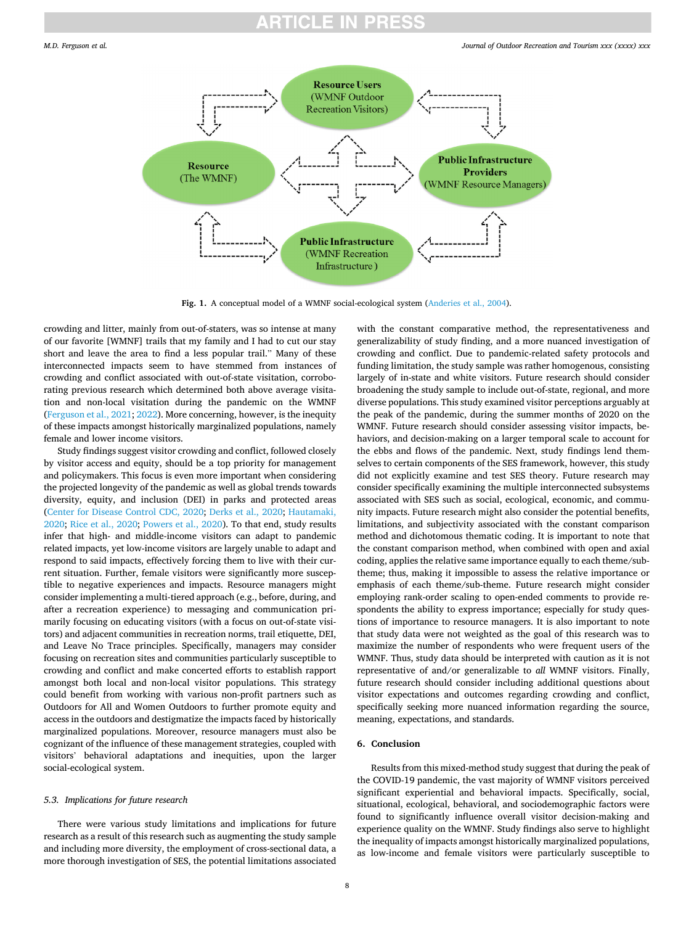<span id="page-7-0"></span>

Fig. 1. A conceptual model of a WMNF social-ecological system ([Anderies et al., 2004\)](#page-8-0).

crowding and litter, mainly from out-of-staters, was so intense at many of our favorite [WMNF] trails that my family and I had to cut our stay short and leave the area to find a less popular trail." Many of these interconnected impacts seem to have stemmed from instances of crowding and conflict associated with out-of-state visitation, corroborating previous research which determined both above average visitation and non-local visitation during the pandemic on the WMNF ([Ferguson et al., 2021](#page-8-0); [2022](#page-8-0)). More concerning, however, is the inequity of these impacts amongst historically marginalized populations, namely female and lower income visitors.

Study findings suggest visitor crowding and conflict, followed closely by visitor access and equity, should be a top priority for management and policymakers. This focus is even more important when considering the projected longevity of the pandemic as well as global trends towards diversity, equity, and inclusion (DEI) in parks and protected areas ([Center for Disease Control CDC, 2020;](#page-8-0) [Derks et al., 2020;](#page-8-0) [Hautamaki,](#page-8-0)  [2020;](#page-8-0) [Rice et al., 2020](#page-9-0); [Powers et al., 2020\)](#page-9-0). To that end, study results infer that high- and middle-income visitors can adapt to pandemic related impacts, yet low-income visitors are largely unable to adapt and respond to said impacts, effectively forcing them to live with their current situation. Further, female visitors were significantly more susceptible to negative experiences and impacts. Resource managers might consider implementing a multi-tiered approach (e.g., before, during, and after a recreation experience) to messaging and communication primarily focusing on educating visitors (with a focus on out-of-state visitors) and adjacent communities in recreation norms, trail etiquette, DEI, and Leave No Trace principles. Specifically, managers may consider focusing on recreation sites and communities particularly susceptible to crowding and conflict and make concerted efforts to establish rapport amongst both local and non-local visitor populations. This strategy could benefit from working with various non-profit partners such as Outdoors for All and Women Outdoors to further promote equity and access in the outdoors and destigmatize the impacts faced by historically marginalized populations. Moreover, resource managers must also be cognizant of the influence of these management strategies, coupled with visitors' behavioral adaptations and inequities, upon the larger social-ecological system.

### *5.3. Implications for future research*

There were various study limitations and implications for future research as a result of this research such as augmenting the study sample and including more diversity, the employment of cross-sectional data, a more thorough investigation of SES, the potential limitations associated with the constant comparative method, the representativeness and generalizability of study finding, and a more nuanced investigation of crowding and conflict. Due to pandemic-related safety protocols and funding limitation, the study sample was rather homogenous, consisting largely of in-state and white visitors. Future research should consider broadening the study sample to include out-of-state, regional, and more diverse populations. This study examined visitor perceptions arguably at the peak of the pandemic, during the summer months of 2020 on the WMNF. Future research should consider assessing visitor impacts, behaviors, and decision-making on a larger temporal scale to account for the ebbs and flows of the pandemic. Next, study findings lend themselves to certain components of the SES framework, however, this study did not explicitly examine and test SES theory. Future research may consider specifically examining the multiple interconnected subsystems associated with SES such as social, ecological, economic, and community impacts. Future research might also consider the potential benefits, limitations, and subjectivity associated with the constant comparison method and dichotomous thematic coding. It is important to note that the constant comparison method, when combined with open and axial coding, applies the relative same importance equally to each theme/subtheme; thus, making it impossible to assess the relative importance or emphasis of each theme/sub-theme. Future research might consider employing rank-order scaling to open-ended comments to provide respondents the ability to express importance; especially for study questions of importance to resource managers. It is also important to note that study data were not weighted as the goal of this research was to maximize the number of respondents who were frequent users of the WMNF. Thus, study data should be interpreted with caution as it is not representative of and/or generalizable to *all* WMNF visitors. Finally, future research should consider including additional questions about visitor expectations and outcomes regarding crowding and conflict, specifically seeking more nuanced information regarding the source, meaning, expectations, and standards.

# **6. Conclusion**

Results from this mixed-method study suggest that during the peak of the COVID-19 pandemic, the vast majority of WMNF visitors perceived significant experiential and behavioral impacts. Specifically, social, situational, ecological, behavioral, and sociodemographic factors were found to significantly influence overall visitor decision-making and experience quality on the WMNF. Study findings also serve to highlight the inequality of impacts amongst historically marginalized populations, as low-income and female visitors were particularly susceptible to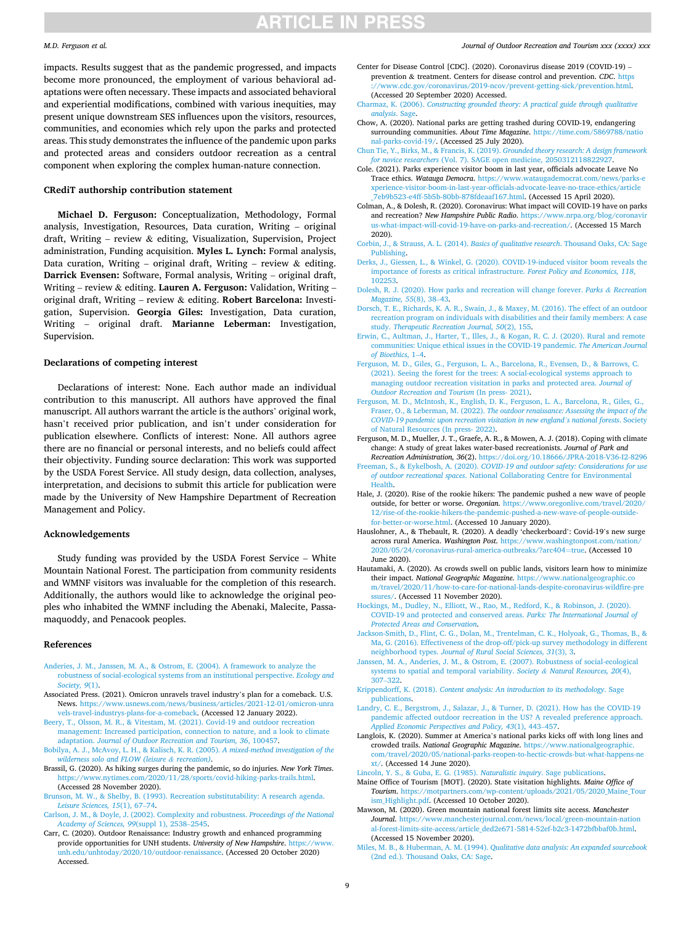#### <span id="page-8-0"></span>*M.D. Ferguson et al.*

impacts. Results suggest that as the pandemic progressed, and impacts become more pronounced, the employment of various behavioral adaptations were often necessary. These impacts and associated behavioral and experiential modifications, combined with various inequities, may present unique downstream SES influences upon the visitors, resources, communities, and economies which rely upon the parks and protected areas. This study demonstrates the influence of the pandemic upon parks and protected areas and considers outdoor recreation as a central component when exploring the complex human-nature connection.

## **CRediT authorship contribution statement**

**Michael D. Ferguson:** Conceptualization, Methodology, Formal analysis, Investigation, Resources, Data curation, Writing – original draft, Writing – review & editing, Visualization, Supervision, Project administration, Funding acquisition. **Myles L. Lynch:** Formal analysis, Data curation, Writing – original draft, Writing – review  $\&$  editing. **Darrick Evensen:** Software, Formal analysis, Writing – original draft, Writing – review & editing. **Lauren A. Ferguson:** Validation, Writing – original draft, Writing – review & editing. **Robert Barcelona:** Investigation, Supervision. **Georgia Giles:** Investigation, Data curation, Writing – original draft. **Marianne Leberman:** Investigation, Supervision.

#### **Declarations of competing interest**

Declarations of interest: None. Each author made an individual contribution to this manuscript. All authors have approved the final manuscript. All authors warrant the article is the authors' original work, hasn't received prior publication, and isn't under consideration for publication elsewhere. Conflicts of interest: None. All authors agree there are no financial or personal interests, and no beliefs could affect their objectivity. Funding source declaration: This work was supported by the USDA Forest Service. All study design, data collection, analyses, interpretation, and decisions to submit this article for publication were made by the University of New Hampshire Department of Recreation Management and Policy.

#### **Acknowledgements**

Study funding was provided by the USDA Forest Service – White Mountain National Forest. The participation from community residents and WMNF visitors was invaluable for the completion of this research. Additionally, the authors would like to acknowledge the original peoples who inhabited the WMNF including the Abenaki, Malecite, Passamaquoddy, and Penacook peoples.

#### **References**

- [Anderies, J. M., Janssen, M. A., & Ostrom, E. \(2004\). A framework to analyze the](http://refhub.elsevier.com/S2213-0780(22)00013-5/sref1) [robustness of social-ecological systems from an institutional perspective.](http://refhub.elsevier.com/S2213-0780(22)00013-5/sref1) *Ecology and [Society, 9](http://refhub.elsevier.com/S2213-0780(22)00013-5/sref1)*(1).
- Associated Press. (2021). Omicron unravels travel industry's plan for a comeback. U.S.<br>News. https://www.usnews.com/news/business/articles/2021-12-01/omicron-unra News. https://www.usnews.com/news/business/article [vels-travel-industrys-plans-for-a-comeback](https://www.usnews.com/news/business/articles/2021-12-01/omicron-unravels-travel-industrys-plans-for-a-comeback). (Accessed 12 January 2022).
- [Beery, T., Olsson, M. R., & Vitestam, M. \(2021\). Covid-19 and outdoor recreation](http://refhub.elsevier.com/S2213-0780(22)00013-5/sref3) [management: Increased participation, connection to nature, and a look to climate](http://refhub.elsevier.com/S2213-0780(22)00013-5/sref3)  adaptation. *[Journal of Outdoor Recreation and Tourism, 36](http://refhub.elsevier.com/S2213-0780(22)00013-5/sref3)*, 100457.
- [Bobilya, A. J., McAvoy, L. H., & Kalisch, K. R. \(2005\).](http://refhub.elsevier.com/S2213-0780(22)00013-5/sref4) *A mixed-method investigation of the [wilderness solo and FLOW \(leisure](http://refhub.elsevier.com/S2213-0780(22)00013-5/sref4) & recreation)*.
- Brassil, G. (2020). As hiking surges during the pandemic, so do injuries. *New York Times*. <https://www.nytimes.com/2020/11/28/sports/covid-hiking-parks-trails.html>. (Accessed 28 November 2020).
- [Brunson, M. W., & Shelby, B. \(1993\). Recreation substitutability: A research agenda.](http://refhub.elsevier.com/S2213-0780(22)00013-5/sref6)  *[Leisure Sciences, 15](http://refhub.elsevier.com/S2213-0780(22)00013-5/sref6)*(1), 67–74.
- [Carlson, J. M., & Doyle, J. \(2002\). Complexity and robustness.](http://refhub.elsevier.com/S2213-0780(22)00013-5/sref7) *Proceedings of the National [Academy of Sciences, 99](http://refhub.elsevier.com/S2213-0780(22)00013-5/sref7)*(suppl 1), 2538–2545.
- Carr, C. (2020). Outdoor Renaissance: Industry growth and enhanced programming provide opportunities for UNH students. *University of New Hampshire*. https://w [unh.edu/unhtoday/2020/10/outdoor-renaissance](https://www.unh.edu/unhtoday/2020/10/outdoor-renaissance). (Accessed 20 October 2020) Accessed.
- *Journal of Outdoor Recreation and Tourism xxx (xxxx) xxx*
- Center for Disease Control [CDC]. (2020). Coronavirus disease 2019 (COVID-19) prevention & treatment. Centers for disease control and prevention. *CDC*. [https](https://www.cdc.gov/coronavirus/2019-ncov/prevent-getting-sick/prevention.html)  [://www.cdc.gov/coronavirus/2019-ncov/prevent-getting-sick/prevention.html.](https://www.cdc.gov/coronavirus/2019-ncov/prevent-getting-sick/prevention.html) (Accessed 20 September 2020) Accessed.
- Charmaz, K. (2006). *[Constructing grounded theory: A practical guide through qualitative](http://refhub.elsevier.com/S2213-0780(22)00013-5/sref10) [analysis](http://refhub.elsevier.com/S2213-0780(22)00013-5/sref10)*. Sage.
- Chow, A. (2020). National parks are getting trashed during COVID-19, endangering surrounding communities. *About Time Magazine*. [https://time.com/5869788/natio](https://time.com/5869788/national-parks-covid-19/) [nal-parks-covid-19/](https://time.com/5869788/national-parks-covid-19/). (Accessed 25 July 2020).
- [Chun Tie, Y., Birks, M., & Francis, K. \(2019\).](http://refhub.elsevier.com/S2213-0780(22)00013-5/sref12) *Grounded theory research: A design framework for novice researchers* [\(Vol. 7\). SAGE open medicine, 2050312118822927.](http://refhub.elsevier.com/S2213-0780(22)00013-5/sref12)
- Cole. (2021). Parks experience visitor boom in last year, officials advocate Leave No Trace ethics. *Watauga Democra*. [https://www.wataugademocrat.com/news/parks-e](https://www.wataugademocrat.com/news/parks-experience-visitor-boom-in-last-year-officials-advocate-leave-no-trace-ethics/article_7eb9b523-e4ff-5b5b-80bb-878fdeaaf167.html) [xperience-visitor-boom-in-last-year-officials-advocate-leave-no-trace-ethics/article](https://www.wataugademocrat.com/news/parks-experience-visitor-boom-in-last-year-officials-advocate-leave-no-trace-ethics/article_7eb9b523-e4ff-5b5b-80bb-878fdeaaf167.html) [\\_7eb9b523-e4ff-5b5b-80bb-878fdeaaf167.html](https://www.wataugademocrat.com/news/parks-experience-visitor-boom-in-last-year-officials-advocate-leave-no-trace-ethics/article_7eb9b523-e4ff-5b5b-80bb-878fdeaaf167.html). (Accessed 15 April 2020).
- Colman, A., & Dolesh, R. (2020). Coronavirus: What impact will COVID-19 have on parks and recreation? *New Hampshire Public Radio*. [https://www.nrpa.org/blog/coronavir](https://www.nrpa.org/blog/coronavirus-what-impact-will-covid-19-have-on-parks-and-recreation/)  [us-what-impact-will-covid-19-have-on-parks-and-recreation/.](https://www.nrpa.org/blog/coronavirus-what-impact-will-covid-19-have-on-parks-and-recreation/) (Accessed 15 March 2020).
- [Corbin, J., & Strauss, A. L. \(2014\).](http://refhub.elsevier.com/S2213-0780(22)00013-5/sref15) *Basics of qualitative research*. Thousand Oaks, CA: Sage [Publishing](http://refhub.elsevier.com/S2213-0780(22)00013-5/sref15).
- [Derks, J., Giessen, L., & Winkel, G. \(2020\). COVID-19-induced visitor boom reveals the](http://refhub.elsevier.com/S2213-0780(22)00013-5/sref16)  [importance of forests as critical infrastructure.](http://refhub.elsevier.com/S2213-0780(22)00013-5/sref16) *Forest Policy and Economics, 118*, [102253](http://refhub.elsevier.com/S2213-0780(22)00013-5/sref16).
- [Dolesh, R. J. \(2020\). How parks and recreation will change forever.](http://refhub.elsevier.com/S2213-0780(22)00013-5/sref17) *Parks & Recreation [Magazine, 55](http://refhub.elsevier.com/S2213-0780(22)00013-5/sref17)*(8), 38–43.
- [Dorsch, T. E., Richards, K. A. R., Swain, J., & Maxey, M. \(2016\). The effect of an outdoor](http://refhub.elsevier.com/S2213-0780(22)00013-5/sref18)  [recreation program on individuals with disabilities and their family members: A case](http://refhub.elsevier.com/S2213-0780(22)00013-5/sref18)  study. *[Therapeutic Recreation Journal, 50](http://refhub.elsevier.com/S2213-0780(22)00013-5/sref18)*(2), 155.
- [Erwin, C., Aultman, J., Harter, T., Illes, J., & Kogan, R. C. J. \(2020\). Rural and remote](http://refhub.elsevier.com/S2213-0780(22)00013-5/sref19)  [communities: Unique ethical issues in the COVID-19 pandemic.](http://refhub.elsevier.com/S2213-0780(22)00013-5/sref19) *The American Journal [of Bioethics](http://refhub.elsevier.com/S2213-0780(22)00013-5/sref19)*, 1–4.
- [Ferguson, M. D., Giles, G., Ferguson, L. A., Barcelona, R., Evensen, D., & Barrows, C.](http://refhub.elsevier.com/S2213-0780(22)00013-5/sref20)  [\(2021\). Seeing the forest for the trees: A social-ecological systems approach to](http://refhub.elsevier.com/S2213-0780(22)00013-5/sref20)  [managing outdoor recreation visitation in parks and protected area.](http://refhub.elsevier.com/S2213-0780(22)00013-5/sref20) *Journal of [Outdoor Recreation and Tourism](http://refhub.elsevier.com/S2213-0780(22)00013-5/sref20)* (In press- 2021).
- [Ferguson, M. D., McIntosh, K., English, D. K., Ferguson, L. A., Barcelona, R., Giles, G.,](http://refhub.elsevier.com/S2213-0780(22)00013-5/sref21)  Fraser, O., & Leberman, M. (2022). *[The outdoor renaissance: Assessing the impact of the](http://refhub.elsevier.com/S2213-0780(22)00013-5/sref21)  [COVID-19 pandemic upon recreation visitation in new england](http://refhub.elsevier.com/S2213-0780(22)00013-5/sref21)'s national forests*. Society [of Natural Resources \(In press- 2022\)](http://refhub.elsevier.com/S2213-0780(22)00013-5/sref21).
- Ferguson, M. D., Mueller, J. T., Graefe, A. R., & Mowen, A. J. (2018). Coping with climate change: A study of great lakes water-based recreationists. *Journal of Park and Recreation Administration, 36*(2).<https://doi.org/10.18666/JPRA-2018-V36-I2-8296>
- Freeman, S., & Eykelbosh, A. (2020). *[COVID-19 and outdoor safety: Considerations for use](http://refhub.elsevier.com/S2213-0780(22)00013-5/sref23)  of outdoor recreational spaces*[. National Collaborating Centre for Environmental](http://refhub.elsevier.com/S2213-0780(22)00013-5/sref23) [Health](http://refhub.elsevier.com/S2213-0780(22)00013-5/sref23).
- Hale, J. (2020). Rise of the rookie hikers: The pandemic pushed a new wave of people outside, for better or worse. *Oregonian*. [https://www.oregonlive.com/travel/2020/](https://www.oregonlive.com/travel/2020/12/rise-of-the-rookie-hikers-the-pandemic-pushed-a-new-wave-of-people-outside-for-better-or-worse.html) [12/rise-of-the-rookie-hikers-the-pandemic-pushed-a-new-wave-of-people-outside](https://www.oregonlive.com/travel/2020/12/rise-of-the-rookie-hikers-the-pandemic-pushed-a-new-wave-of-people-outside-for-better-or-worse.html)[for-better-or-worse.html.](https://www.oregonlive.com/travel/2020/12/rise-of-the-rookie-hikers-the-pandemic-pushed-a-new-wave-of-people-outside-for-better-or-worse.html) (Accessed 10 January 2020).
- Hauslohner, A., & Thebault, R. (2020). A deadly 'checkerboard': Covid-19's new surge across rural America. *Washington Post*. [https://www.washingtonpost.com/nation/](https://www.washingtonpost.com/nation/2020/05/24/coronavirus-rural-america-outbreaks/?arc404=true)  [2020/05/24/coronavirus-rural-america-outbreaks/?arc404](https://www.washingtonpost.com/nation/2020/05/24/coronavirus-rural-america-outbreaks/?arc404=true)=true. (Accessed 10 June 2020).
- Hautamaki, A. (2020). As crowds swell on public lands, visitors learn how to minimize their impact. *National Geographic Magazine*. [https://www.nationalgeographic.co](https://www.nationalgeographic.com/travel/2020/11/how-to-care-for-national-lands-despite-coronavirus-wildfire-pressures/) [m/travel/2020/11/how-to-care-for-national-lands-despite-coronavirus-wildfire-pre](https://www.nationalgeographic.com/travel/2020/11/how-to-care-for-national-lands-despite-coronavirus-wildfire-pressures/)  [ssures/.](https://www.nationalgeographic.com/travel/2020/11/how-to-care-for-national-lands-despite-coronavirus-wildfire-pressures/) (Accessed 11 November 2020).
- [Hockings, M., Dudley, N., Elliott, W., Rao, M., Redford, K., & Robinson, J. \(2020\).](http://refhub.elsevier.com/S2213-0780(22)00013-5/sref27)  [COVID-19 and protected and conserved areas.](http://refhub.elsevier.com/S2213-0780(22)00013-5/sref27) *Parks: The International Journal of [Protected Areas and Conservation](http://refhub.elsevier.com/S2213-0780(22)00013-5/sref27)*.
- [Jackson-Smith, D., Flint, C. G., Dolan, M., Trentelman, C. K., Holyoak, G., Thomas, B., &](http://refhub.elsevier.com/S2213-0780(22)00013-5/sref28)  [Ma, G. \(2016\). Effectiveness of the drop-off/pick-up survey methodology in different](http://refhub.elsevier.com/S2213-0780(22)00013-5/sref28)  neighborhood types. *[Journal of Rural Social Sciences, 31](http://refhub.elsevier.com/S2213-0780(22)00013-5/sref28)*(3), 3.
- [Janssen, M. A., Anderies, J. M., & Ostrom, E. \(2007\). Robustness of social-ecological](http://refhub.elsevier.com/S2213-0780(22)00013-5/sref29) [systems to spatial and temporal variability.](http://refhub.elsevier.com/S2213-0780(22)00013-5/sref29) *Society & Natural Resources, 20*(4), 307–[322](http://refhub.elsevier.com/S2213-0780(22)00013-5/sref29).
- Krippendorff, K. (2018). *[Content analysis: An introduction to its methodology](http://refhub.elsevier.com/S2213-0780(22)00013-5/sref30)*. Sage [publications](http://refhub.elsevier.com/S2213-0780(22)00013-5/sref30).
- [Landry, C. E., Bergstrom, J., Salazar, J., & Turner, D. \(2021\). How has the COVID-19](http://refhub.elsevier.com/S2213-0780(22)00013-5/sref31)  [pandemic affected outdoor recreation in the US? A revealed preference approach.](http://refhub.elsevier.com/S2213-0780(22)00013-5/sref31) *[Applied Economic Perspectives and Policy, 43](http://refhub.elsevier.com/S2213-0780(22)00013-5/sref31)*(1), 443–457.
- Langlois, K. (2020). Summer at America's national parks kicks off with long lines and crowded trails. *National Geographic Magazine*. [https://www.nationalgeographic.](https://www.nationalgeographic.com/travel/2020/05/national-parks-reopen-to-hectic-crowds-but-what-happens-next/)  [com/travel/2020/05/national-parks-reopen-to-hectic-crowds-but-what-happens-ne](https://www.nationalgeographic.com/travel/2020/05/national-parks-reopen-to-hectic-crowds-but-what-happens-next/)  [xt/](https://www.nationalgeographic.com/travel/2020/05/national-parks-reopen-to-hectic-crowds-but-what-happens-next/). (Accessed 14 June 2020).

[Lincoln, Y. S., & Guba, E. G. \(1985\).](http://refhub.elsevier.com/S2213-0780(22)00013-5/sref33) *Naturalistic inquiry*. Sage publications.

- Maine Office of Tourism [MOT]. (2020). State visitation highlights. *Maine Office of Tourism*. [https://motpartners.com/wp-content/uploads/2021/05/2020\\_Maine\\_Tour](https://motpartners.com/wp-content/uploads/2021/05/2020_Maine_Tourism_Highlight.pdf)  [ism\\_Highlight.pdf](https://motpartners.com/wp-content/uploads/2021/05/2020_Maine_Tourism_Highlight.pdf). (Accessed 10 October 2020).
- Mawson, M. (2020). Green mountain national forest limits site access. *Manchester Journal*. [https://www.manchesterjournal.com/news/local/green-mountain-nation](https://www.manchesterjournal.com/news/local/green-mountain-national-forest-limits-site-access/article_ded2e671-5814-52ef-b2c3-1472bfbbaf0b.html)  [al-forest-limits-site-access/article\\_ded2e671-5814-52ef-b2c3-1472bfbbaf0b.html.](https://www.manchesterjournal.com/news/local/green-mountain-national-forest-limits-site-access/article_ded2e671-5814-52ef-b2c3-1472bfbbaf0b.html) (Accessed 15 November 2020).

Miles, M. B., & Huberman, A. M. (1994). *[Qualitative data analysis: An expanded sourcebook](http://refhub.elsevier.com/S2213-0780(22)00013-5/sref36)*  [\(2nd ed.\). Thousand Oaks, CA: Sage](http://refhub.elsevier.com/S2213-0780(22)00013-5/sref36).